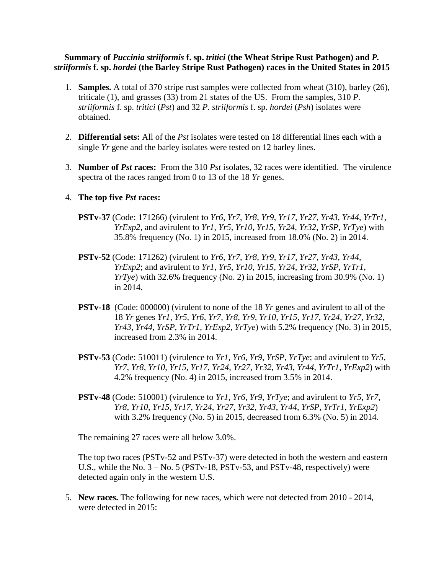## **Summary of** *Puccinia striiformis* **f. sp.** *tritici* **(the Wheat Stripe Rust Pathogen) and** *P. striiformis* **f. sp.** *hordei* **(the Barley Stripe Rust Pathogen) races in the United States in 2015**

- 1. **Samples.** A total of 370 stripe rust samples were collected from wheat (310), barley (26), triticale (1), and grasses (33) from 21 states of the US. From the samples, 310 *P. striiformis* f. sp. *tritici* (*Pst*) and 32 *P. striiformis* f. sp. *hordei* (*Psh*) isolates were obtained.
- 2. **Differential sets:** All of the *Pst* isolates were tested on 18 differential lines each with a single *Yr* gene and the barley isolates were tested on 12 barley lines.
- 3. **Number of** *Pst* **races:** From the 310 *Pst* isolates, 32 races were identified. The virulence spectra of the races ranged from 0 to 13 of the 18 *Yr* genes.

## 4. **The top five** *Pst* **races:**

- **PSTv-37** (Code: 171266) (virulent to *Yr6*, *Yr7*, *Yr8*, *Yr9*, *Yr17*, *Yr27*, *Yr43*, *Yr44*, *YrTr1*, *YrExp2*, and avirulent to *Yr1*, *Yr5*, *Yr10*, *Yr15*, *Yr24*, *Yr32*, *YrSP*, *YrTye*) with 35.8% frequency (No. 1) in 2015, increased from 18.0% (No. 2) in 2014.
- **PSTv-52** (Code: 171262) (virulent to *Yr6*, *Yr7*, *Yr8*, *Yr9*, *Yr17*, *Yr27*, *Yr43*, *Yr44*, *YrExp2*; and avirulent to *Yr1*, *Yr5*, *Yr10*, *Yr15*, *Yr24*, *Yr32*, *YrSP*, *YrTr1*, *YrTye*) with 32.6% frequency (No. 2) in 2015, increasing from 30.9% (No. 1) in 2014.
- **PSTv-18** (Code: 000000) (virulent to none of the 18 *Yr* genes and avirulent to all of the 18 *Yr* genes *Yr1*, *Yr5*, *Yr6*, *Yr7*, *Yr8*, *Yr9*, *Yr10*, *Yr15*, *Yr17*, *Yr24*, *Yr27*, *Yr32*, *Yr43*, *Yr44*, *YrSP*, *YrTr1*, *YrExp2*, *YrTye*) with 5.2% frequency (No. 3) in 2015, increased from 2.3% in 2014.
- **PSTv-53** (Code: 510011) (virulence to *Yr1*, *Yr6*, *Yr9*, *YrSP*, *YrTye*; and avirulent to *Yr5*, *Yr7*, *Yr8*, *Yr10*, *Yr15*, *Yr17*, *Yr24*, *Yr27*, *Yr32*, *Yr43*, *Yr44*, *YrTr1*, *YrExp2*) with 4.2% frequency (No. 4) in 2015, increased from 3.5% in 2014.
- **PSTv-48** (Code: 510001) (virulence to *Yr1*, *Yr6*, *Yr9*, *YrTye*; and avirulent to *Yr5*, *Yr7*, *Yr8*, *Yr10*, *Yr15*, *Yr17*, *Yr24*, *Yr27*, *Yr32*, *Yr43*, *Yr44*, *YrSP*, *YrTr1*, *YrExp2*) with 3.2% frequency (No. 5) in 2015, decreased from 6.3% (No. 5) in 2014.

The remaining 27 races were all below 3.0%.

The top two races (PSTv-52 and PSTv-37) were detected in both the western and eastern U.S., while the No.  $3 - No. 5$  (PSTv-18, PSTv-53, and PSTv-48, respectively) were detected again only in the western U.S.

5. **New races.** The following for new races, which were not detected from 2010 - 2014, were detected in 2015: